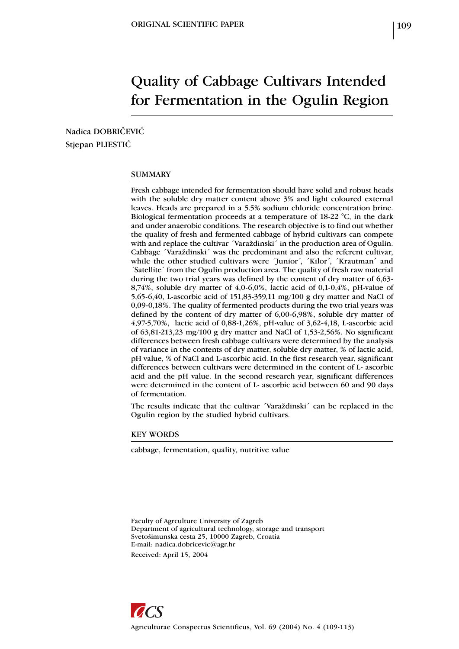# Quality of Cabbage Cultivars Intended for Fermentation in the Ogulin Region

Nadica DOBRIČEVIĆ Stjepan PLIESTIC

### SUMMARY

Fresh cabbage intended for fermentation should have solid and robust heads with the soluble dry matter content above 3% and light coloured external leaves. Heads are prepared in a 5.5% sodium chloride concentration brine. Biological fermentation proceeds at a temperature of 18-22 °C, in the dark and under anaerobic conditions. The research objective is to find out whether the quality of fresh and fermented cabbage of hybrid cultivars can compete with and replace the cultivar *'Varaždinski'* in the production area of Ogulin. Cabbage ´Varaždinski´ was the predominant and also the referent cultivar, while the other studied cultivars were 'Junior', 'Kilor', 'Krautman' and ´Satellite´ from the Ogulin production area. The quality of fresh raw material during the two trial years was defined by the content of dry matter of 6,63- 8,74%, soluble dry matter of 4,0-6,0%, lactic acid of 0,1-0,4%, pH-value of 5,65-6,40, L-ascorbic acid of 151,83-359,11 mg/100 g dry matter and NaCl of 0,09-0,18%. The quality of fermented products during the two trial years was defined by the content of dry matter of 6,00-6,98%, soluble dry matter of 4,97-5,70%, lactic acid of 0,88-1,26%, pH-value of 3,62-4,18, L-ascorbic acid of 63,81-213,23 mg/100 g dry matter and NaCl of 1,53-2,56%. No significant differences between fresh cabbage cultivars were determined by the analysis of variance in the contents of dry matter, soluble dry matter, % of lactic acid, pH value, % of NaCl and L-ascorbic acid. In the first research year, significant differences between cultivars were determined in the content of L- ascorbic acid and the pH value. In the second research year, significant differences were determined in the content of L- ascorbic acid between 60 and 90 days of fermentation.

The results indicate that the cultivar ´Varaždinski´ can be replaced in the Ogulin region by the studied hybrid cultivars.

KEY WORDS

cabbage, fermentation, quality, nutritive value

Faculty of Agrculture University of Zagreb Department of agricultural technology, storage and transport Svetošimunska cesta 25, 10000 Zagreb, Croatia E-mail: nadica.dobricevic@agr.hr Received: April 15, 2004

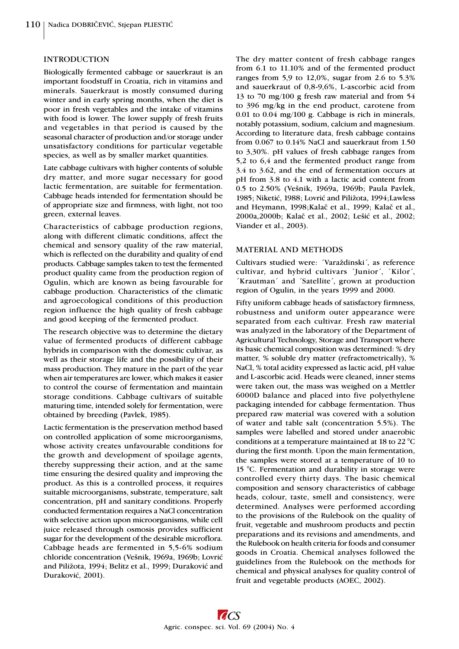## INTRODUCTION

Biologically fermented cabbage or sauerkraut is an important foodstuff in Croatia, rich in vitamins and minerals. Sauerkraut is mostly consumed during winter and in early spring months, when the diet is poor in fresh vegetables and the intake of vitamins with food is lower. The lower supply of fresh fruits and vegetables in that period is caused by the seasonal character of production and/or storage under unsatisfactory conditions for particular vegetable species, as well as by smaller market quantities.

Late cabbage cultivars with higher contents of soluble dry matter, and more sugar necessary for good lactic fermentation, are suitable for fermentation. Cabbage heads intended for fermentation should be of appropriate size and firmness, with light, not too green, external leaves.

Characteristics of cabbage production regions, along with different climatic conditions, affect the chemical and sensory quality of the raw material, which is reflected on the durability and quality of end products. Cabbage samples taken to test the fermented product quality came from the production region of Ogulin, which are known as being favourable for cabbage production. Characteristics of the climatic and agroecological conditions of this production region influence the high quality of fresh cabbage and good keeping of the fermented product.

The research objective was to determine the dietary value of fermented products of different cabbage hybrids in comparison with the domestic cultivar, as well as their storage life and the possibility of their mass production. They mature in the part of the year when air temperatures are lower, which makes it easier to control the course of fermentation and maintain storage conditions. Cabbage cultivars of suitable maturing time, intended solely for fermentation, were obtained by breeding (Pavlek, 1985).

Lactic fermentation is the preservation method based on controlled application of some microorganisms, whose activity creates unfavourable conditions for the growth and development of spoilage agents, thereby suppressing their action, and at the same time ensuring the desired quality and improving the product. As this is a controlled process, it requires suitable microorganisms, substrate, temperature, salt concentration, pH and sanitary conditions. Properly conducted fermentation requires a NaCl concentration with selective action upon microorganisms, while cell juice released through osmosis provides sufficient sugar for the development of the desirable microflora. Cabbage heads are fermented in 5,5-6% sodium chloride concentration (Vešnik, 1969a, 1969b; Lovrić and Piližota, 1994; Belitz et al., 1999; Duraković and Duraković, 2001).

The dry matter content of fresh cabbage ranges from 6.1 to 11.10% and of the fermented product ranges from 5,9 to 12,0%, sugar from 2.6 to 5.3% and sauerkraut of 0,8-9,6%, L-ascorbic acid from 13 to 70 mg/100 g fresh raw material and from 54 to 396 mg/kg in the end product, carotene from 0.01 to 0.04 mg/100 g. Cabbage is rich in minerals, notably potassium, sodium, calcium and magnesium. According to literature data, fresh cabbage contains from 0.067 to 0.14% NaCl and sauerkraut from 1.50 to 3,30%. pH values of fresh cabbage ranges from 5,2 to 6,4 and the fermented product range from 3.4 to 3.62, and the end of fermentation occurs at pH from 3.8 to 4.1 with a lactic acid content from 0.5 to 2.50% (Vešnik, 1969a, 1969b; Paula Pavlek, 1985; Niketić, 1988; Lovrić and Piližota, 1994; Lawless and Heymann, 1998;Kalaè et al., 1999; Kalaè et al., 2000a,2000b; Kalač et al., 2002; Lešić et al., 2002; Viander et al., 2003).

## MATERIAL AND METHODS

Cultivars studied were: ´Varaždinski´, as reference cultivar, and hybrid cultivars ´Junior´, ´Kilor´, ´Krautman´ and ´Satellite´, grown at production region of Ogulin, in the years 1999 and 2000.

Fifty uniform cabbage heads of satisfactory firmness, robustness and uniform outer appearance were separated from each cultivar. Fresh raw material was analyzed in the laboratory of the Department of Agricultural Technology, Storage and Transport where its basic chemical composition was determined: % dry matter, % soluble dry matter (refractometrically), % NaCl, % total acidity expressed as lactic acid, pH value and L-ascorbic acid. Heads were cleaned, inner stems were taken out, the mass was weighed on a Mettler 6000D balance and placed into five polyethylene packaging intended for cabbage fermentation. Thus prepared raw material was covered with a solution of water and table salt (concentration 5.5%). The samples were labelled and stored under anaerobic conditions at a temperature maintained at 18 to 22 °C during the first month. Upon the main fermentation, the samples were stored at a temperature of 10 to 15 °C. Fermentation and durability in storage were controlled every thirty days. The basic chemical composition and sensory characteristics of cabbage heads, colour, taste, smell and consistency, were determined. Analyses were performed according to the provisions of the Rulebook on the quality of fruit, vegetable and mushroom products and pectin preparations and its revisions and amendments, and the Rulebook on health criteria for foods and consumer goods in Croatia. Chemical analyses followed the guidelines from the Rulebook on the methods for chemical and physical analyses for quality control of fruit and vegetable products (AOEC, 2002).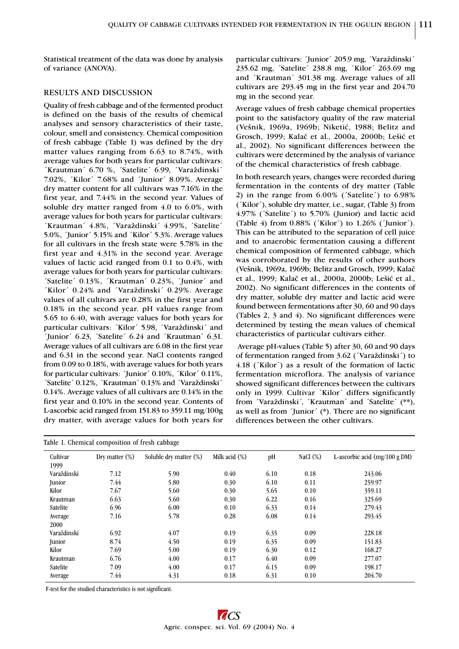Statistical treatment of the data was done by analysis of variance (ANOVA).

# RESULTS AND DISCUSSION

Quality of fresh cabbage and of the fermented product is defined on the basis of the results of chemical analyses and sensory characteristics of their taste, colour, smell and consistency. Chemical composition of fresh cabbage (Table 1) was defined by the dry matter values ranging from 6.63 to 8.74%, with average values for both years for particular cultivars: ´Krautman´ 6.70 %, ´Satelite´ 6.99, ´Varaždinski´ 7.02%, ´Kilor´ 7.68% and ´Junior´ 8.09%. Average dry matter content for all cultivars was 7.16% in the first year, and 7.44% in the second year. Values of soluble dry matter ranged from 4.0 to 6.0%, with average values for both years for particular cultivars: ´Krautman´ 4.8%, ´Varaždinski´ 4.99%, ´Satelite´ 5.0%, ´Junior´ 5.15% and ´Kilor´ 5.3%. Average values for all cultivars in the fresh state were 5.78% in the first year and 4.31% in the second year. Average values of lactic acid ranged from 0.1 to 0.4%, with average values for both years for particular cultivars: ´Satelite´ 0.13%, ´Krautman´ 0.23%, ´Junior´ and ´Kilor´ 0.24% and ´Varaždinski´ 0.29%. Average values of all cultivars are 0.28% in the first year and 0.18% in the second year. pH values range from 5.65 to 6.40, with average values for both years for particular cultivars: ´Kilor´ 5.98, ´Varaždinski´ and ´Junior´ 6.23, ´Satelite´ 6.24 and ´Krautman´ 6.31. Average values of all cultivars are 6.08 in the first year and 6.31 in the second year. NaCl contents ranged from 0.09 to 0.18%, with average values for both years for particular cultivars: ´Junior´ 0.10%, ´Kilor´ 0.11%, ´Satelite´ 0.12%, ´Krautman´ 0.13% and ´Varaždinski´ 0.14%. Average values of all cultivars are 0.14% in the first year and 0.10% in the second year. Contents of L-ascorbic acid ranged from 151.83 to 359.11 mg/100g dry matter, with average values for both years for

particular cultivars: ´Junior´ 205.9 mg, ´Varaždinski´ 235.62 mg, ´Satelite´ 238.8 mg, ´Kilor´ 263.69 mg and ´Krautman´ 301.38 mg. Average values of all cultivars are 293.45 mg in the first year and 204.70 mg in the second year.

Average values of fresh cabbage chemical properties point to the satisfactory quality of the raw material (Vešnik, 1969a, 1969b; Niketić, 1988; Belitz and Grosch, 1999; Kalač et al., 2000a, 2000b; Lešić et al., 2002). No significant differences between the cultivars were determined by the analysis of variance of the chemical characteristics of fresh cabbage.

In both research years, changes were recorded during fermentation in the contents of dry matter (Table 2) in the range from 6.00% (´Satelite´) to 6.98% (´Kilor´), soluble dry matter, i.e., sugar, (Table 3) from 4.97% (´Satelite´) to 5.70% (Junior) and lactic acid (Table 4) from 0.88% (´Kilor´) to 1.26% (´Junior´). This can be attributed to the separation of cell juice and to anaerobic fermentation causing a different chemical composition of fermented cabbage, which was corroborated by the results of other authors (Vešnik, 1969a, 1969b; Belitz and Grosch, 1999; Kalaè et al., 1999; Kalač et al., 2000a, 2000b; Lešić et al., 2002). No significant differences in the contents of dry matter, soluble dry matter and lactic acid were found between fermentations after 30, 60 and 90 days (Tables 2, 3 and 4). No significant differences were determined by testing the mean values of chemical characteristics of particular cultivars either.

 Average pH-values (Table 5) after 30, 60 and 90 days of fermentation ranged from 3.62 (´Varaždinski´) to 4.18 (´Kilor´) as a result of the formation of lactic fermentation microflora. The analysis of variance showed significant differences between the cultivars only in 1999. Cultivar ´Kilor´ differs significantly from ´Varaždinski´, ´Krautman´ and ´Satelite´ (\*\*), as well as from ´Junior´ (\*). There are no significant differences between the other cultivars.

| Table 1. Chemical composition of fresh cabbage |                   |                        |                  |      |             |                                 |  |  |
|------------------------------------------------|-------------------|------------------------|------------------|------|-------------|---------------------------------|--|--|
| Cultivar<br>1999                               | Dry matter $(\%)$ | Soluble dry matter (%) | Milk acid $(\%)$ | pH   | NaCl $(\%)$ | L-ascorbic acid $(mg/100 g DM)$ |  |  |
| Varaždinski                                    | 7.12              | 5.90                   | 0.40             | 6.10 | 0.18        | 243.06                          |  |  |
| Junior                                         | 7.44              | 5.80                   | 0.30             | 6.10 | 0.11        | 259.97                          |  |  |
| Kilor                                          | 7.67              | 5.60                   | 0.30             | 5.65 | 0.10        | 359.11                          |  |  |
| Krautman                                       | 6.63              | 5.60                   | 0.30             | 6.22 | 0.16        | 325.69                          |  |  |
| Satelite                                       | 6.96              | 6.00                   | 0.10             | 6.33 | 0.14        | 279.43                          |  |  |
| Average<br>2000                                | 7.16              | 5.78                   | 0.28             | 6.08 | 0.14        | 293.45                          |  |  |
| Varaždinski                                    | 6.92              | 4.07                   | 0.19             | 6.35 | 0.09        | 228.18                          |  |  |
| Junior                                         | 8.74              | 4.50                   | 0.19             | 6.35 | 0.09        | 151.83                          |  |  |
| Kilor                                          | 7.69              | 5.00                   | 0.19             | 6.30 | 0.12        | 168.27                          |  |  |
| Krautman                                       | 6.76              | 4.00                   | 0.17             | 6.40 | 0.09        | 277.07                          |  |  |
| Satelite                                       | 7.09              | 4.00                   | 0.17             | 6.15 | 0.09        | 198.17                          |  |  |
| Average                                        | 7.44              | 4.31                   | 0.18             | 6.31 | 0.10        | 204.70                          |  |  |

F-test for the studied characteristics is not significant.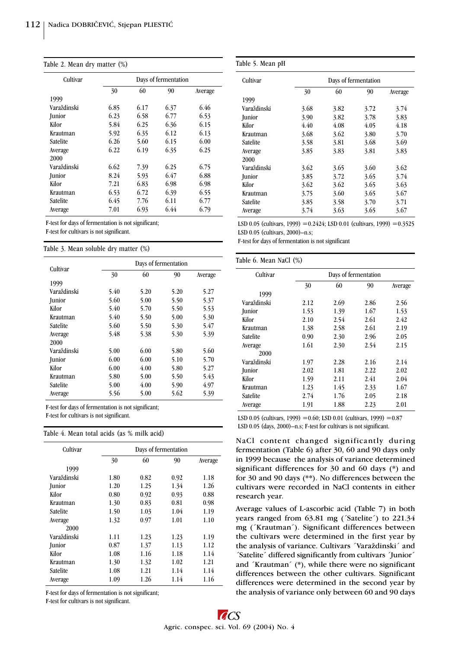|  |  |  |  | Table 2. Mean dry matter (%) |  |
|--|--|--|--|------------------------------|--|
|--|--|--|--|------------------------------|--|

| Cultivar    |      |      | Days of fermentation |         |
|-------------|------|------|----------------------|---------|
|             | 30   | 60   | 90                   | Average |
| 1999        |      |      |                      |         |
| Varaždinski | 6.85 | 6.17 | 6.37                 | 6.46    |
| Junior      | 6.23 | 6.58 | 6.77                 | 6.53    |
| Kilor       | 5.84 | 6.25 | 6.36                 | 6.15    |
| Krautman    | 5.92 | 6.35 | 6.12                 | 6.13    |
| Satelite    | 6.26 | 5.60 | 6.15                 | 6.00    |
| Average     | 6.22 | 6.19 | 6.35                 | 6.25    |
| 2000        |      |      |                      |         |
| Varaždinski | 6.62 | 7.39 | 6.25                 | 6.75    |
| Junior      | 8.24 | 5.93 | 6.47                 | 6.88    |
| Kilor       | 7.21 | 6.83 | 6.98                 | 6.98    |
| Krautman    | 6.53 | 6.72 | 6.39                 | 6.55    |
| Satelite    | 6.45 | 7.76 | 6.11                 | 6.77    |
| Average     | 7.01 | 6.93 | 6.44                 | 6.79    |

F-test for days of fermentation is not significant;

F-test for cultivars is not significant.

Table 3. Mean soluble dry matter (%)

| Cultivar    |      | Days of fermentation |      |         |  |  |  |
|-------------|------|----------------------|------|---------|--|--|--|
|             | 30   | 60                   | 90   | Average |  |  |  |
| 1999        |      |                      |      |         |  |  |  |
| Varaždinski | 5.40 | 5.20                 | 5.20 | 5.27    |  |  |  |
| Junior      | 5.60 | 5.00                 | 5.50 | 5.37    |  |  |  |
| Kilor       | 5.40 | 5.70                 | 5.50 | 5.53    |  |  |  |
| Krautman    | 5.40 | 5.50                 | 5.00 | 5.30    |  |  |  |
| Satelite    | 5.60 | 5.50                 | 5.30 | 5.47    |  |  |  |
| Average     | 5.48 | 5.38                 | 5.30 | 5.39    |  |  |  |
| 2000        |      |                      |      |         |  |  |  |
| Varaždinski | 5.00 | 6.00                 | 5.80 | 5.60    |  |  |  |
| Junior      | 6.00 | 6.00                 | 5.10 | 5.70    |  |  |  |
| Kilor       | 6.00 | 4.00                 | 5.80 | 5.27    |  |  |  |
| Krautman    | 5.80 | 5.00                 | 5.50 | 5.43    |  |  |  |
| Satelite    | 5.00 | 4.00                 | 5.90 | 4.97    |  |  |  |
| Average     | 5.56 | 5.00                 | 5.62 | 5.39    |  |  |  |

F-test for days of fermentation is not significant; F-test for cultivars is not significant.

Table 4. Mean total acids (as % milk acid)

| Cultivar        | Days of fermentation |      |      |         |
|-----------------|----------------------|------|------|---------|
|                 | 30                   | 60   | 90   | Average |
| 1999            |                      |      |      |         |
| Varaždinski     | 1.80                 | 0.82 | 0.92 | 1.18    |
| <b>Junior</b>   | 1.20                 | 1.25 | 1.34 | 1.26    |
| Kilor           | 0.80                 | 0.92 | 0.93 | 0.88    |
| Krautman        | 1.30                 | 0.83 | 0.81 | 0.98    |
| Satelite        | 1.50                 | 1.03 | 1.04 | 1.19    |
| Average         | 1.32                 | 0.97 | 1.01 | 1.10    |
| 2000            |                      |      |      |         |
| Varaždinski     | 1.11                 | 1.23 | 1.23 | 1.19    |
| Junior          | 0.87                 | 1.37 | 1.13 | 1.12    |
| Kilor           | 1.08                 | 1.16 | 1.18 | 1.14    |
| Krautman        | 1.30                 | 1.32 | 1.02 | 1.21    |
| <b>Satelite</b> | 1.08                 | 1.21 | 1.14 | 1.14    |
| Average         | 1.09                 | 1.26 | 1.14 | 1.16    |

F-test for days of fermentation is not significant;

F-test for cultivars is not significant.

| Cultivar    |      | Days of fermentation |      |         |  |  |
|-------------|------|----------------------|------|---------|--|--|
|             | 30   | 60                   | 90   | Average |  |  |
| 1999        |      |                      |      |         |  |  |
| Varaždinski | 3.68 | 3.82                 | 3.72 | 3.74    |  |  |
| Junior      | 3.90 | 3.82                 | 3.78 | 3.83    |  |  |
| Kilor       | 4.40 | 4.08                 | 4.05 | 4.18    |  |  |
| Krautman    | 3.68 | 3.62                 | 3.80 | 3.70    |  |  |
| Satelite    | 3.58 | 3.81                 | 3.68 | 3.69    |  |  |
| Average     | 3.85 | 3.83                 | 3.81 | 3.83    |  |  |
| 2000        |      |                      |      |         |  |  |
| Varaždinski | 3.62 | 3.65                 | 3.60 | 3.62    |  |  |
| Junior      | 3.85 | 3.72                 | 3.65 | 3.74    |  |  |
| Kilor       | 3.62 | 3.62                 | 3.65 | 3.63    |  |  |
| Krautman    | 3.75 | 3.60                 | 3.65 | 3.67    |  |  |
| Satelite    | 3.85 | 3.58                 | 3.70 | 3.71    |  |  |
| Average     | 3.74 | 3.63                 | 3.65 | 3.67    |  |  |

LSD 0.05 (cultivars, 1999) = 0.2424; LSD 0.01 (cultivars, 1999) = 0.3525 LSD  $0.05$  (cultivars,  $2000$ ) $-n.s;$ 

F-test for days of fermentation is not significant

### Table 6. Mean NaCl (%)

| Cultivar        | Days of fermentation |      |      |         |  |
|-----------------|----------------------|------|------|---------|--|
|                 | 30                   | 60   | 90   | Average |  |
| 1999            |                      |      |      |         |  |
| Varaždinski     | 2.12                 | 2.69 | 2.86 | 2.56    |  |
| <b>Junior</b>   | 1.53                 | 1.39 | 1.67 | 1.53    |  |
| Kilor           | 2.10                 | 2.54 | 2.61 | 2.42    |  |
| Krautman        | 1.38                 | 2.58 | 2.61 | 2.19    |  |
| <b>Satelite</b> | 0.90                 | 2.30 | 2.96 | 2.05    |  |
| Average         | 1.61                 | 2.30 | 2.54 | 2.15    |  |
| 2000            |                      |      |      |         |  |
| Varaždinski     | 1.97                 | 2.28 | 2.16 | 2.14    |  |
| Junior          | 2.02                 | 1.81 | 2.22 | 2.02    |  |
| Kilor           | 1.59                 | 2.11 | 2.41 | 2.04    |  |
| Krautman        | 1.23                 | 1.45 | 2.33 | 1.67    |  |
| Satelite        | 2.74                 | 1.76 | 2.05 | 2.18    |  |
| Average         | 1.91                 | 1.88 | 2.23 | 2.01    |  |

LSD 0.05 (cultivars, 1999) =  $0.60$ ; LSD 0.01 (cultivars, 1999) =  $0.87$ LSD  $0.05$  (days,  $2000$ ) $-n.s$ ; F-test for cultivars is not significant.

NaCl content changed significantly during fermentation (Table 6) after 30, 60 and 90 days only in 1999 because the analysis of variance determined significant differences for 30 and 60 days (\*) and for 30 and 90 days (\*\*). No differences between the cultivars were recorded in NaCl contents in either research year.

Average values of L-ascorbic acid (Table 7) in both years ranged from 63.81 mg ('Satelite') to 221.34 mg (´Krautman´). Significant differences between the cultivars were determined in the first year by the analysis of variance. Cultivars ´Varaždinski´ and ´Satelite´ differed significantly from cultivars ´Junior´ and ´Krautman´ (\*), while there were no significant differences between the other cultivars. Significant differences were determined in the second year by the analysis of variance only between 60 and 90 days